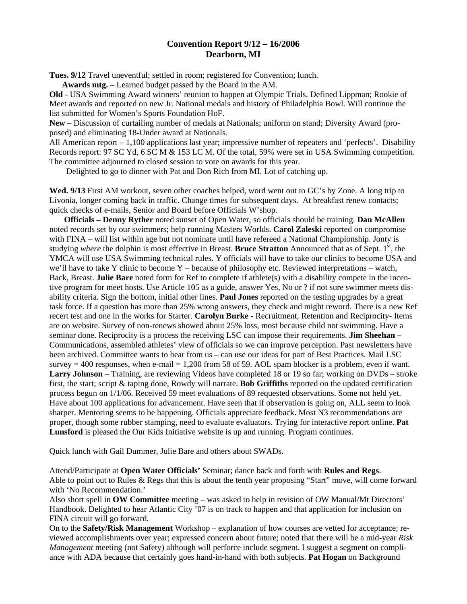## **Convention Report 9/12 – 16/2006 Dearborn, MI**

**Tues. 9/12** Travel uneventful; settled in room; registered for Convention; lunch.

**Awards mtg.** – Learned budget passed by the Board in the AM.

**Old -** USA Swimming Award winners' reunion to happen at Olympic Trials. Defined Lippman; Rookie of Meet awards and reported on new Jr. National medals and history of Philadelphia Bowl. Will continue the list submitted for Women's Sports Foundation HoF.

**New –** Discussion of curtailing number of medals at Nationals; uniform on stand; Diversity Award (proposed) and eliminating 18-Under award at Nationals.

All American report – 1,100 applications last year; impressive number of repeaters and 'perfects'. Disability Records report: 97 SC Yd, 6 SC M & 153 LC M. Of the total, 59% were set in USA Swimming competition. The committee adjourned to closed session to vote on awards for this year.

Delighted to go to dinner with Pat and Don Rich from MI. Lot of catching up.

**Wed. 9/13** First AM workout, seven other coaches helped, word went out to GC's by Zone. A long trip to Livonia, longer coming back in traffic. Change times for subsequent days. At breakfast renew contacts; quick checks of e-mails, Senior and Board before Officials W'shop.

 **Officials – Denny Ryther** noted sunset of Open Water, so officials should be training. **Dan McAllen** noted records set by our swimmers; help running Masters Worlds. **Carol Zaleski** reported on compromise with FINA – will list within age but not nominate until have refereed a National Championship. Jonty is studying *where* the dolphin is most effective in Breast. **Bruce Stratton** Announced that as of Sept. 1<sup>st</sup>, the YMCA will use USA Swimming technical rules. Y officials will have to take our clinics to become USA and we'll have to take Y clinic to become Y – because of philosophy etc. Reviewed interpretations – watch, Back, Breast. **Julie Bare** noted form for Ref to complete if athlete(s) with a disability compete in the incentive program for meet hosts. Use Article 105 as a guide, answer Yes, No or ? if not sure swimmer meets disability criteria. Sign the bottom, initial other lines. **Paul Jones** reported on the testing upgrades by a great task force. If a question has more than 25% wrong answers, they check and might reword. There is a new Ref recert test and one in the works for Starter. **Carolyn Burke -** Recruitment, Retention and Reciprocity- Items are on website. Survey of non-renews showed about 25% loss, most because child not swimming. Have a seminar done. Reciprocity is a process the receiving LSC can impose their requirements. **Jim Sheehan –** Communications, assembled athletes' view of officials so we can improve perception. Past newsletters have been archived. Committee wants to hear from us – can use our ideas for part of Best Practices. Mail LSC survey  $= 400$  responses, when e-mail  $= 1,200$  from 58 of 59. AOL spam blocker is a problem, even if want. **Larry Johnson** – Training, are reviewing Videos have completed 18 or 19 so far; working on DVDs – stroke first, the start; script & taping done, Rowdy will narrate. **Bob Griffiths** reported on the updated certification process begun on 1/1/06. Received 59 meet evaluations of 89 requested observations. Some not held yet. Have about 100 applications for advancement. Have seen that if observation is going on, ALL seem to look sharper. Mentoring seems to be happening. Officials appreciate feedback. Most N3 recommendations are proper, though some rubber stamping, need to evaluate evaluators. Trying for interactive report online. **Pat Lunsford** is pleased the Our Kids Initiative website is up and running. Program continues.

Quick lunch with Gail Dummer, Julie Bare and others about SWADs.

Attend/Participate at **Open Water Officials'** Seminar; dance back and forth with **Rules and Regs**. Able to point out to Rules & Regs that this is about the tenth year proposing "Start" move, will come forward with 'No Recommendation.'

Also short spell in **OW Committee** meeting – was asked to help in revision of OW Manual/Mt Directors' Handbook. Delighted to hear Atlantic City '07 is on track to happen and that application for inclusion on FINA circuit will go forward.

On to the **Safety/Risk Management** Workshop – explanation of how courses are vetted for acceptance; reviewed accomplishments over year; expressed concern about future; noted that there will be a mid-year *Risk Management* meeting (not Safety) although will perforce include segment. I suggest a segment on compliance with ADA because that certainly goes hand-in-hand with both subjects. **Pat Hogan** on Background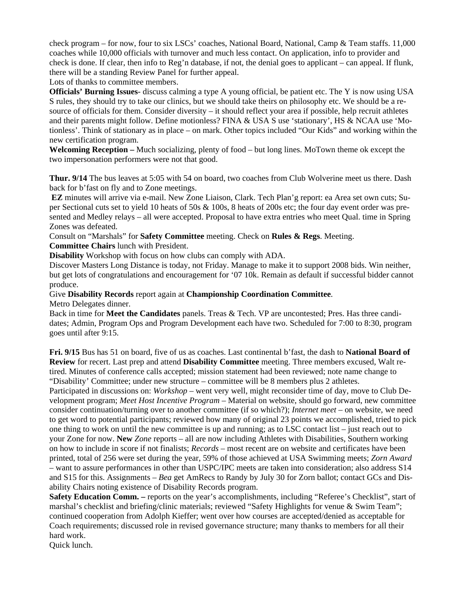check program – for now, four to six LSCs' coaches, National Board, National, Camp & Team staffs. 11,000 coaches while 10,000 officials with turnover and much less contact. On application, info to provider and check is done. If clear, then info to Reg'n database, if not, the denial goes to applicant – can appeal. If flunk, there will be a standing Review Panel for further appeal.

Lots of thanks to committee members.

**Officials' Burning Issues**- discuss calming a type A young official, be patient etc. The Y is now using USA S rules, they should try to take our clinics, but we should take theirs on philosophy etc. We should be a resource of officials for them. Consider diversity – it should reflect your area if possible, help recruit athletes and their parents might follow. Define motionless? FINA & USA S use 'stationary', HS & NCAA use 'Motionless'. Think of stationary as in place – on mark. Other topics included "Our Kids" and working within the new certification program.

**Welcoming Reception –** Much socializing, plenty of food – but long lines. MoTown theme ok except the two impersonation performers were not that good.

**Thur. 9/14** The bus leaves at 5:05 with 54 on board, two coaches from Club Wolverine meet us there. Dash back for b'fast on fly and to Zone meetings.

 **EZ** minutes will arrive via e-mail. New Zone Liaison, Clark. Tech Plan'g report: ea Area set own cuts; Super Sectional cuts set to yield 10 heats of 50s  $\&$  100s, 8 heats of 200s etc; the four day event order was presented and Medley relays – all were accepted. Proposal to have extra entries who meet Qual. time in Spring Zones was defeated.

Consult on "Marshals" for **Safety Committee** meeting. Check on **Rules & Regs**. Meeting. **Committee Chairs** lunch with President.

**Disability** Workshop with focus on how clubs can comply with ADA.

Discover Masters Long Distance is today, not Friday. Manage to make it to support 2008 bids. Win neither, but get lots of congratulations and encouragement for '07 10k. Remain as default if successful bidder cannot produce.

Give **Disability Records** report again at **Championship Coordination Committee**. Metro Delegates dinner.

Back in time for **Meet the Candidates** panels. Treas & Tech. VP are uncontested; Pres. Has three candidates; Admin, Program Ops and Program Development each have two. Scheduled for 7:00 to 8:30, program goes until after 9:15.

**Fri. 9/15** Bus has 51 on board, five of us as coaches. Last continental b'fast, the dash to **National Board of Review** for recert. Last prep and attend **Disability Committee** meeting. Three members excused, Walt retired. Minutes of conference calls accepted; mission statement had been reviewed; note name change to "Disability' Committee; under new structure – committee will be 8 members plus 2 athletes.

Participated in discussions on: *Workshop* – went very well, might reconsider time of day, move to Club Development program; *Meet Host Incentive Program* – Material on website, should go forward, new committee consider continuation/turning over to another committee (if so which?); *Internet meet* – on website, we need to get word to potential participants; reviewed how many of original 23 points we accomplished, tried to pick one thing to work on until the new committee is up and running; as to LSC contact list – just reach out to your Zone for now. **New** *Zone* reports – all are now including Athletes with Disabilities, Southern working on how to include in score if not finalists; *Records* – most recent are on website and certificates have been printed, total of 256 were set during the year, 59% of those achieved at USA Swimming meets; *Zorn Award* – want to assure performances in other than USPC/IPC meets are taken into consideration; also address S14 and S15 for this. Assignments – *Bea* get AmRecs to Randy by July 30 for Zorn ballot; contact GCs and Disability Chairs noting existence of Disability Records program.

**Safety Education Comm.** – reports on the year's accomplishments, including "Referee's Checklist", start of marshal's checklist and briefing/clinic materials; reviewed "Safety Highlights for venue & Swim Team"; continued cooperation from Adolph Kieffer; went over how courses are accepted/denied as acceptable for Coach requirements; discussed role in revised governance structure; many thanks to members for all their hard work.

Quick lunch.